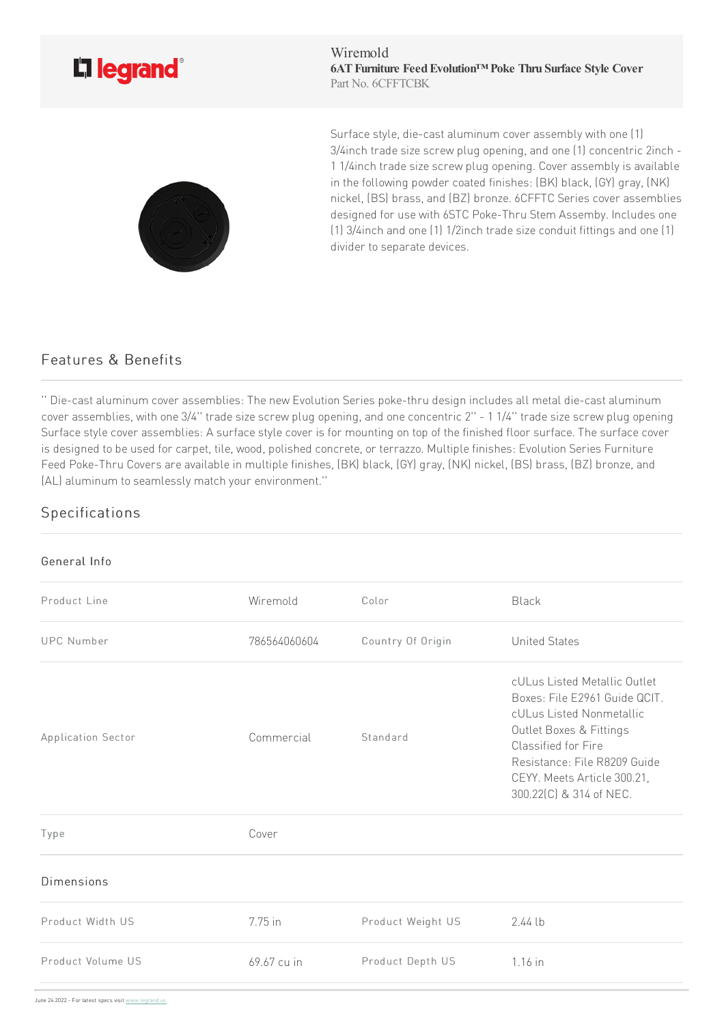

Wiremold **6ATFurniture FeedEvolution™ Poke Thru Surface Style Cover** Part No. 6CFFTCBK

Surface style, die-cast aluminum cover assembly with one [1] 3/4inch trade size screw plug opening, and one (1) concentric 2inch -11/4inch trade size screw plug opening. Cover assembly is available in the following powder coated finishes: (BK) black, (GY) gray, (NK) nickel, (BS) brass, and (BZ) bronze. 6CFFTC Series cover assemblies designed for use with 6STC Poke-Thru Stem Assemby. Includes one (1) 3/4inch and one (1) 1/2inch trade size conduit fittings and one (1) divider to separate devices.

## Features & Benefits

'' Die-cast aluminum cover assemblies: The new Evolution Series poke-thru design includes all metal die-cast aluminum cover assemblies, with one 3/4" trade size screw plug opening, and one concentric 2" - 11/4" trade size screw plug opening Surface style cover assemblies: A surface style cover is for mounting on top of the finished floor surface. The surface cover is designed to be used for carpet, tile, wood, polished concrete, or terrazzo. Multiple finishes: Evolution Series Furniture Feed Poke-Thru Covers are available in multiple finishes, (BK) black, (GY) gray, (NK) nickel, (BS) brass, (BZ) bronze, and (AL) aluminum to seamlessly match your environment."

## Specifications

## General Info Product Line **Color** Miremold Color Color Black UPC Number  $786564060604$  Country Of Origin United States Application Sector **Commercial** Standard cULus Listed Metallic Outlet Boxes: File E2961 Guide QCIT. cULus Listed Nonmetallic Outlet Boxes & Fittings Classified for Fire Resistance: File R8209 Guide CEYY. Meets Article 300.21, 300.22(C) & 314of NEC. Type Cover Dimensions Product Width US 7.75in Product Weight US 2.44lb Product Volume [US](https://www.legrand.us) 69.67 cu in Product Depth US 1.16 in June 24 2022 - For latest specs visit www.legrand.us